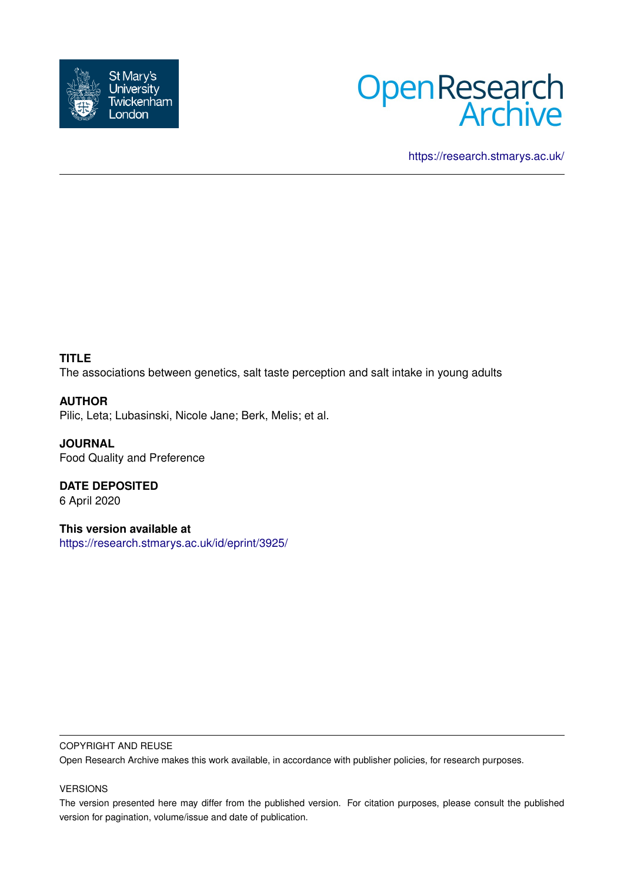



<https://research.stmarys.ac.uk/>

# **TITLE**

The associations between genetics, salt taste perception and salt intake in young adults

# **AUTHOR**

Pilic, Leta; Lubasinski, Nicole Jane; Berk, Melis; et al.

**JOURNAL** Food Quality and Preference

**DATE DEPOSITED** 6 April 2020

**This version available at** <https://research.stmarys.ac.uk/id/eprint/3925/>

#### COPYRIGHT AND REUSE

Open Research Archive makes this work available, in accordance with publisher policies, for research purposes.

#### VERSIONS

The version presented here may differ from the published version. For citation purposes, please consult the published version for pagination, volume/issue and date of publication.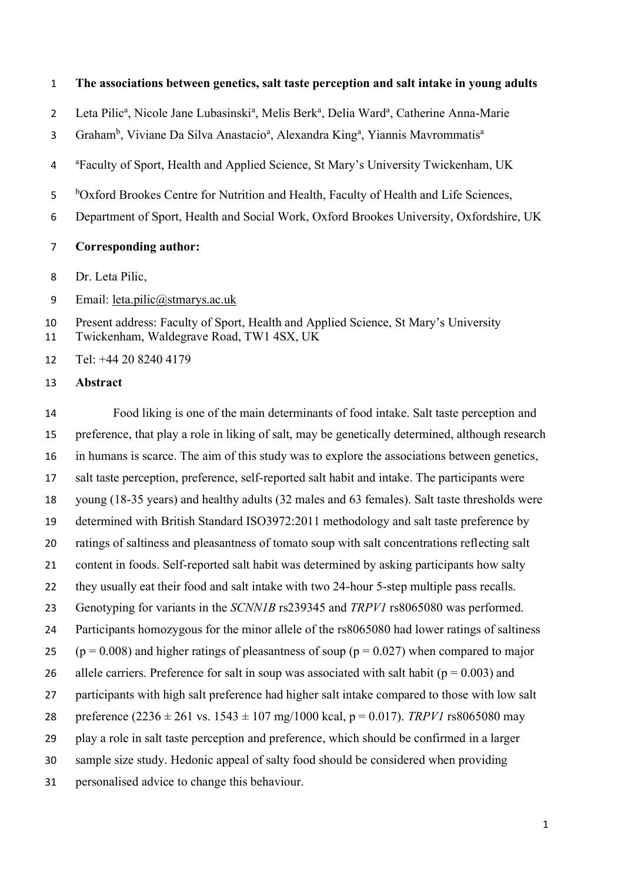#### **The associations between genetics, salt taste perception and salt intake in young adults**

2 Leta Pilic<sup>a</sup>, Nicole Jane Lubasinski<sup>a</sup>, Melis Berk<sup>a</sup>, Delia Ward<sup>a</sup>, Catherine Anna-Marie

Graham<sup>b</sup>, Viviane Da Silva Anastacio<sup>a</sup>, Alexandra King<sup>a</sup>, Yiannis Mavrommatis<sup>a</sup> 

4 <sup>a</sup> Faculty of Sport, Health and Applied Science, St Mary's University Twickenham, UK

<sup>b</sup>Oxford Brookes Centre for Nutrition and Health, Faculty of Health and Life Sciences,

Department of Sport, Health and Social Work, Oxford Brookes University, Oxfordshire, UK

- **Corresponding author:**
- Dr. Leta Pilic,
- Email: [leta.pilic@stmarys.ac.uk](mailto:leta.pilic@stmarys.ac.uk)

Present address: Faculty of Sport, Health and Applied Science, St Mary's University

Twickenham, Waldegrave Road, TW1 4SX, UK

Tel: +44 20 8240 4179

**Abstract**

 Food liking is one of the main determinants of food intake. Salt taste perception and preference, that play a role in liking of salt, may be genetically determined, although research in humans is scarce. The aim of this study was to explore the associations between genetics, salt taste perception, preference, self-reported salt habit and intake. The participants were young (18-35 years) and healthy adults (32 males and 63 females). Salt taste thresholds were determined with British Standard ISO3972:2011 methodology and salt taste preference by ratings of saltiness and pleasantness of tomato soup with salt concentrations reflecting salt content in foods. Self-reported salt habit was determined by asking participants how salty 22 they usually eat their food and salt intake with two 24-hour 5-step multiple pass recalls. Genotyping for variants in the *SCNN1B* rs239345 and *TRPV1* rs8065080 was performed. Participants homozygous for the minor allele of the rs8065080 had lower ratings of saltiness 25 ( $p = 0.008$ ) and higher ratings of pleasantness of soup ( $p = 0.027$ ) when compared to major 26 allele carriers. Preference for salt in soup was associated with salt habit ( $p = 0.003$ ) and participants with high salt preference had higher salt intake compared to those with low salt 28 preference  $(2236 \pm 261 \text{ vs. } 1543 \pm 107 \text{ mg}/1000 \text{ kcal}, p = 0.017)$ . *TRPV1* rs8065080 may play a role in salt taste perception and preference, which should be confirmed in a larger sample size study. Hedonic appeal of salty food should be considered when providing personalised advice to change this behaviour.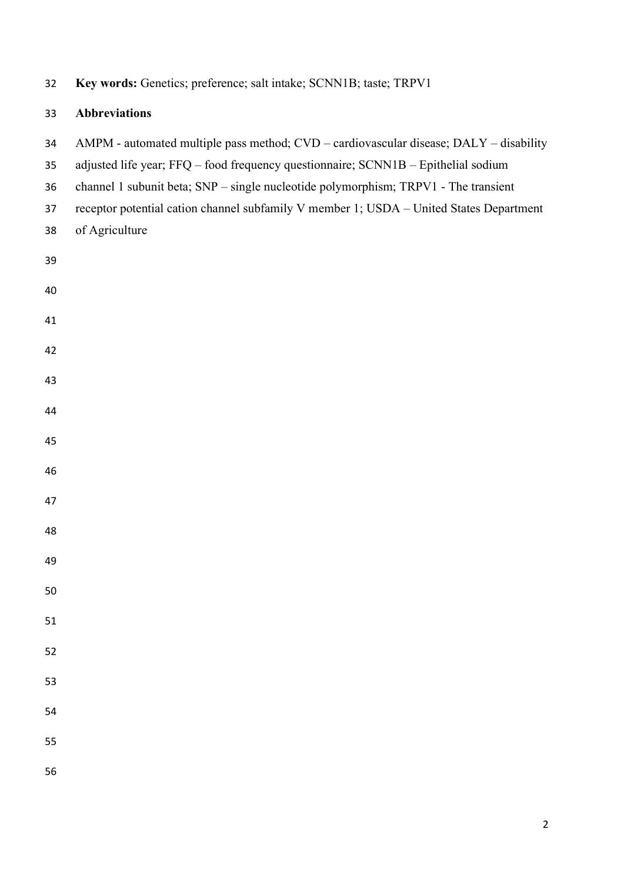| 32                         | Key words: Genetics; preference; salt intake; SCNN1B; taste; TRPV1                                                                                                                                                                                                                                                                                                               |  |  |  |  |
|----------------------------|----------------------------------------------------------------------------------------------------------------------------------------------------------------------------------------------------------------------------------------------------------------------------------------------------------------------------------------------------------------------------------|--|--|--|--|
| 33                         | <b>Abbreviations</b>                                                                                                                                                                                                                                                                                                                                                             |  |  |  |  |
| 34<br>35<br>36<br>37<br>38 | AMPM - automated multiple pass method; CVD - cardiovascular disease; DALY - disability<br>adjusted life year; FFQ - food frequency questionnaire; SCNN1B - Epithelial sodium<br>channel 1 subunit beta; SNP - single nucleotide polymorphism; TRPV1 - The transient<br>receptor potential cation channel subfamily V member 1; USDA - United States Department<br>of Agriculture |  |  |  |  |
| 39                         |                                                                                                                                                                                                                                                                                                                                                                                  |  |  |  |  |
| 40                         |                                                                                                                                                                                                                                                                                                                                                                                  |  |  |  |  |
| 41                         |                                                                                                                                                                                                                                                                                                                                                                                  |  |  |  |  |
| 42                         |                                                                                                                                                                                                                                                                                                                                                                                  |  |  |  |  |
| 43                         |                                                                                                                                                                                                                                                                                                                                                                                  |  |  |  |  |
| 44                         |                                                                                                                                                                                                                                                                                                                                                                                  |  |  |  |  |
| 45                         |                                                                                                                                                                                                                                                                                                                                                                                  |  |  |  |  |
| 46                         |                                                                                                                                                                                                                                                                                                                                                                                  |  |  |  |  |
| 47                         |                                                                                                                                                                                                                                                                                                                                                                                  |  |  |  |  |
| 48                         |                                                                                                                                                                                                                                                                                                                                                                                  |  |  |  |  |
| 49                         |                                                                                                                                                                                                                                                                                                                                                                                  |  |  |  |  |
| 50                         |                                                                                                                                                                                                                                                                                                                                                                                  |  |  |  |  |
| 51                         |                                                                                                                                                                                                                                                                                                                                                                                  |  |  |  |  |
| 52                         |                                                                                                                                                                                                                                                                                                                                                                                  |  |  |  |  |
| 53                         |                                                                                                                                                                                                                                                                                                                                                                                  |  |  |  |  |
| 54                         |                                                                                                                                                                                                                                                                                                                                                                                  |  |  |  |  |
| 55                         |                                                                                                                                                                                                                                                                                                                                                                                  |  |  |  |  |
| 56                         |                                                                                                                                                                                                                                                                                                                                                                                  |  |  |  |  |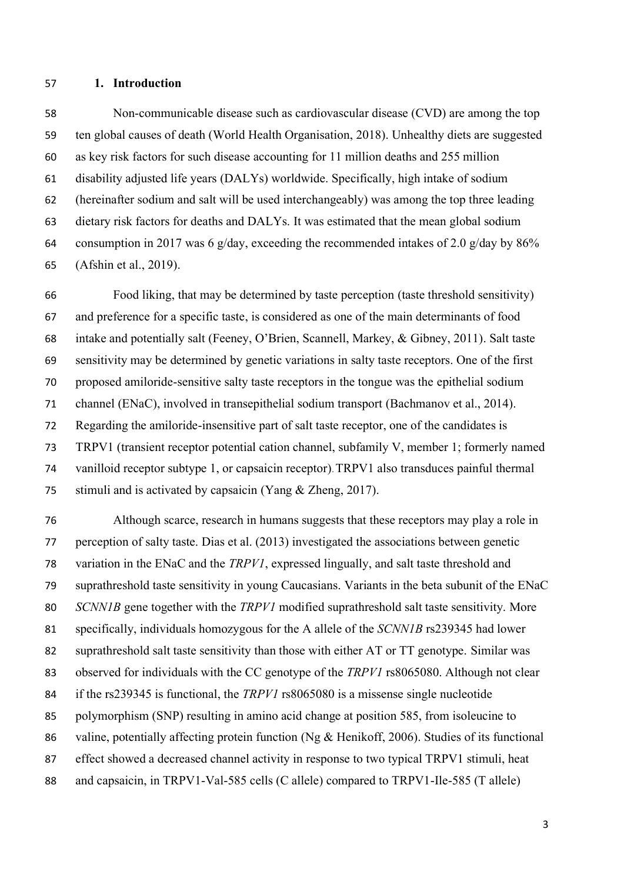#### **1. Introduction**

 Non-communicable disease such as cardiovascular disease (CVD) are among the top ten global causes of death (World Health Organisation, 2018). Unhealthy diets are suggested as key risk factors for such disease accounting for 11 million deaths and 255 million disability adjusted life years (DALYs) worldwide. Specifically, high intake of sodium (hereinafter sodium and salt will be used interchangeably) was among the top three leading dietary risk factors for deaths and DALYs. It was estimated that the mean global sodium 64 consumption in 2017 was 6 g/day, exceeding the recommended intakes of 2.0 g/day by  $86\%$ (Afshin et al., 2019).

 Food liking, that may be determined by taste perception (taste threshold sensitivity) and preference for a specific taste, is considered as one of the main determinants of food intake and potentially salt (Feeney, O'Brien, Scannell, Markey, & Gibney, 2011). Salt taste sensitivity may be determined by genetic variations in salty taste receptors. One of the first proposed amiloride-sensitive salty taste receptors in the tongue was the epithelial sodium channel (ENaC), involved in transepithelial sodium transport (Bachmanov et al., 2014). Regarding the amiloride-insensitive part of salt taste receptor, one of the candidates is TRPV1 (transient receptor potential cation channel, subfamily V, member 1; formerly named vanilloid receptor subtype 1, or capsaicin receptor).TRPV1 also transduces painful thermal stimuli and is activated by capsaicin (Yang & Zheng, 2017).

 Although scarce, research in humans suggests that these receptors may play a role in perception of salty taste. Dias et al. (2013) investigated the associations between genetic variation in the ENaC and the *TRPV1*, expressed lingually, and salt taste threshold and suprathreshold taste sensitivity in young Caucasians. Variants in the beta subunit of the ENaC *SCNN1B* gene together with the *TRPV1* modified suprathreshold salt taste sensitivity. More specifically, individuals homozygous for the A allele of the *SCNN1B* rs239345 had lower suprathreshold salt taste sensitivity than those with either AT or TT genotype. Similar was observed for individuals with the CC genotype of the *TRPV1* rs8065080. Although not clear if the rs239345 is functional, the *TRPV1* rs8065080 is a missense single nucleotide polymorphism (SNP) resulting in amino acid change at position 585, from isoleucine to 86 valine, potentially affecting protein function (Ng & Henikoff, 2006). Studies of its functional 87 effect showed a decreased channel activity in response to two typical TRPV1 stimuli, heat 88 and capsaicin, in TRPV1-Val-585 cells (C allele) compared to TRPV1-Ile-585 (T allele)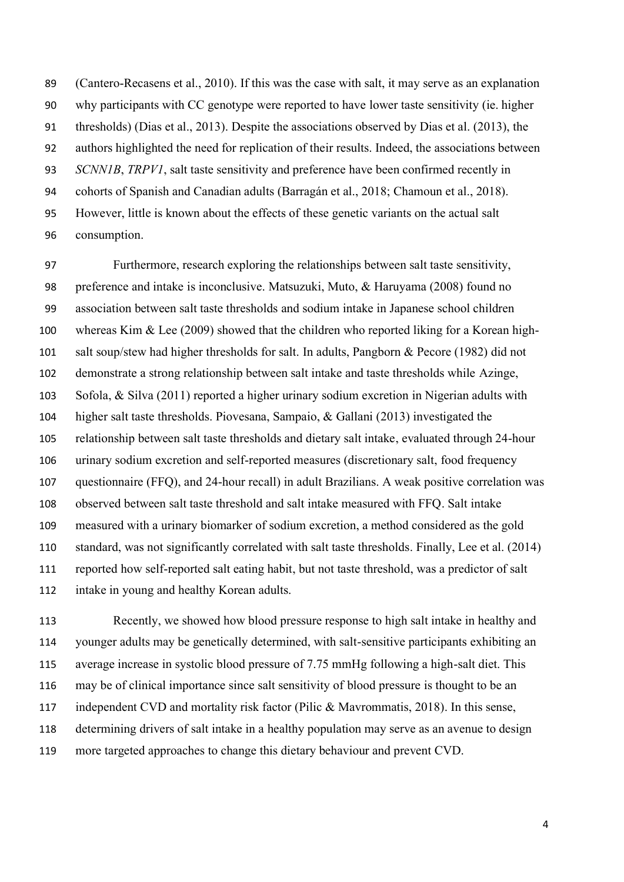(Cantero-Recasens et al., 2010). If this was the case with salt, it may serve as an explanation why participants with CC genotype were reported to have lower taste sensitivity (ie. higher thresholds) (Dias et al., 2013). Despite the associations observed by Dias et al. (2013), the authors highlighted the need for replication of their results. Indeed, the associations between *SCNN1B*, *TRPV1*, salt taste sensitivity and preference have been confirmed recently in cohorts of Spanish and Canadian adults (Barragán et al., 2018; Chamoun et al., 2018). However, little is known about the effects of these genetic variants on the actual salt consumption.

 Furthermore, research exploring the relationships between salt taste sensitivity, preference and intake is inconclusive. Matsuzuki, Muto, & Haruyama (2008) found no association between salt taste thresholds and sodium intake in Japanese school children whereas Kim & Lee (2009) showed that the children who reported liking for a Korean high- salt soup/stew had higher thresholds for salt. In adults, Pangborn & Pecore (1982) did not demonstrate a strong relationship between salt intake and taste thresholds while Azinge, Sofola, & Silva (2011) reported a higher urinary sodium excretion in Nigerian adults with higher salt taste thresholds. Piovesana, Sampaio, & Gallani (2013) investigated the relationship between salt taste thresholds and dietary salt intake, evaluated through 24-hour urinary sodium excretion and self-reported measures (discretionary salt, food frequency questionnaire (FFQ), and 24-hour recall) in adult Brazilians. A weak positive correlation was observed between salt taste threshold and salt intake measured with FFQ. Salt intake measured with a urinary biomarker of sodium excretion, a method considered as the gold standard, was not significantly correlated with salt taste thresholds. Finally, Lee et al. (2014) reported how self-reported salt eating habit, but not taste threshold, was a predictor of salt intake in young and healthy Korean adults.

 Recently, we showed how blood pressure response to high salt intake in healthy and younger adults may be genetically determined, with salt-sensitive participants exhibiting an average increase in systolic blood pressure of 7.75 mmHg following a high-salt diet. This may be of clinical importance since salt sensitivity of blood pressure is thought to be an independent CVD and mortality risk factor (Pilic & Mavrommatis, 2018). In this sense, determining drivers of salt intake in a healthy population may serve as an avenue to design more targeted approaches to change this dietary behaviour and prevent CVD.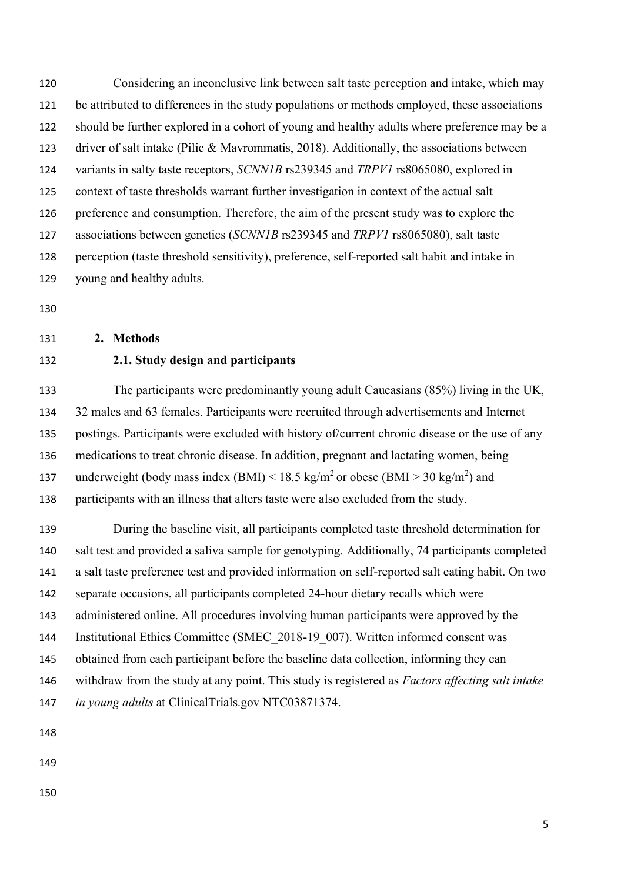Considering an inconclusive link between salt taste perception and intake, which may be attributed to differences in the study populations or methods employed, these associations should be further explored in a cohort of young and healthy adults where preference may be a driver of salt intake (Pilic & Mavrommatis, 2018). Additionally, the associations between variants in salty taste receptors, *SCNN1B* rs239345 and *TRPV1* rs8065080, explored in context of taste thresholds warrant further investigation in context of the actual salt preference and consumption. Therefore, the aim of the present study was to explore the associations between genetics (*SCNN1B* rs239345 and *TRPV1* rs8065080), salt taste perception (taste threshold sensitivity), preference, self-reported salt habit and intake in young and healthy adults.

#### **2. Methods**

# **2.1. Study design and participants**

 The participants were predominantly young adult Caucasians (85%) living in the UK, 32 males and 63 females. Participants were recruited through advertisements and Internet postings. Participants were excluded with history of/current chronic disease or the use of any medications to treat chronic disease. In addition, pregnant and lactating women, being 137 underweight (body mass index  $(BMI) < 18.5 \text{ kg/m}^2$  or obese  $(BMI > 30 \text{ kg/m}^2)$  and participants with an illness that alters taste were also excluded from the study.

 During the baseline visit, all participants completed taste threshold determination for salt test and provided a saliva sample for genotyping. Additionally, 74 participants completed a salt taste preference test and provided information on self-reported salt eating habit. On two separate occasions, all participants completed 24-hour dietary recalls which were administered online. All procedures involving human participants were approved by the Institutional Ethics Committee (SMEC\_2018-19\_007). Written informed consent was obtained from each participant before the baseline data collection, informing they can withdraw from the study at any point. This study is registered as *Factors affecting salt intake in young adults* at ClinicalTrials.gov NTC03871374.

- 
-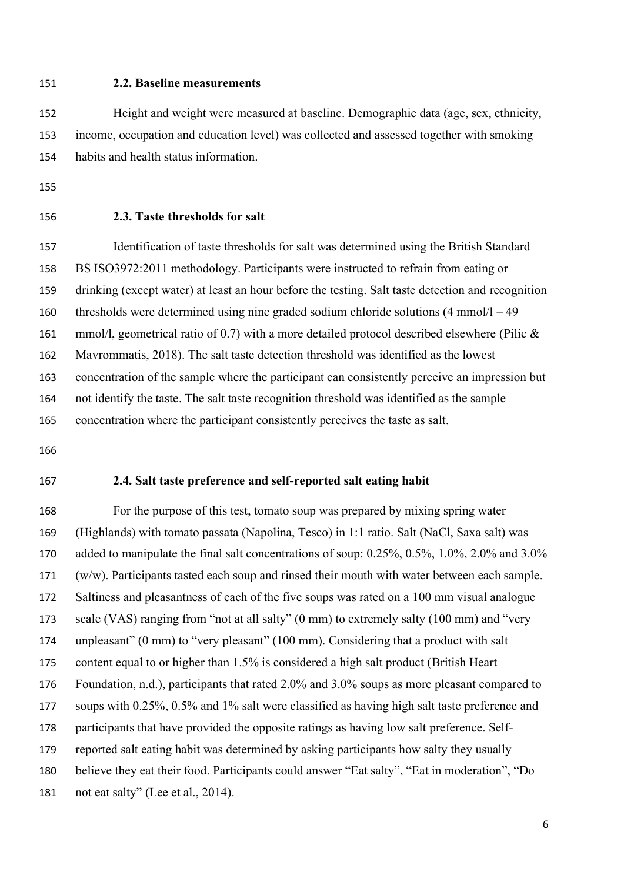#### **2.2. Baseline measurements**

 Height and weight were measured at baseline. Demographic data (age, sex, ethnicity, income, occupation and education level) was collected and assessed together with smoking habits and health status information.

- 
- 

# **2.3. Taste thresholds for salt**

 Identification of taste thresholds for salt was determined using the British Standard BS ISO3972:2011 methodology. Participants were instructed to refrain from eating or drinking (except water) at least an hour before the testing. Salt taste detection and recognition thresholds were determined using nine graded sodium chloride solutions (4 mmol/l – 49 161 mmol/l, geometrical ratio of 0.7) with a more detailed protocol described elsewhere (Pilic & Mavrommatis, 2018). The salt taste detection threshold was identified as the lowest concentration of the sample where the participant can consistently perceive an impression but not identify the taste. The salt taste recognition threshold was identified as the sample concentration where the participant consistently perceives the taste as salt.

### **2.4. Salt taste preference and self-reported salt eating habit**

 For the purpose of this test, tomato soup was prepared by mixing spring water (Highlands) with tomato passata (Napolina, Tesco) in 1:1 ratio. Salt (NaCl, Saxa salt) was added to manipulate the final salt concentrations of soup: 0.25%, 0.5%, 1.0%, 2.0% and 3.0% (w/w). Participants tasted each soup and rinsed their mouth with water between each sample. 172 Saltiness and pleasantness of each of the five soups was rated on a 100 mm visual analogue scale (VAS) ranging from "not at all salty" (0 mm) to extremely salty (100 mm) and "very unpleasant" (0 mm) to "very pleasant" (100 mm). Considering that a product with salt content equal to or higher than 1.5% is considered a high salt product (British Heart Foundation, n.d.), participants that rated 2.0% and 3.0% soups as more pleasant compared to soups with 0.25%, 0.5% and 1% salt were classified as having high salt taste preference and participants that have provided the opposite ratings as having low salt preference. Self- reported salt eating habit was determined by asking participants how salty they usually believe they eat their food. Participants could answer "Eat salty", "Eat in moderation", "Do 181 not eat salty" (Lee et al., 2014).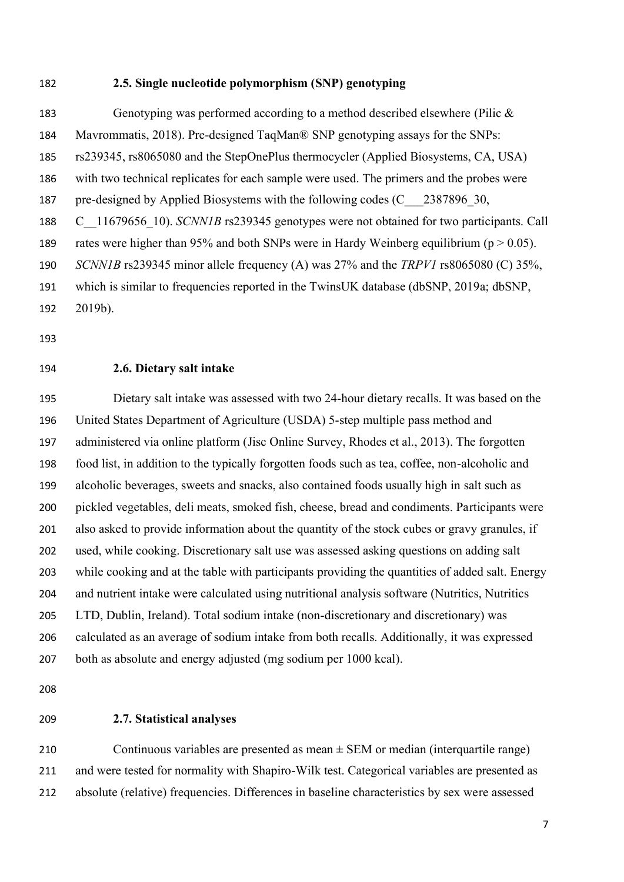#### **2.5. Single nucleotide polymorphism (SNP) genotyping**

 Genotyping was performed according to a method described elsewhere (Pilic & Mavrommatis, 2018). Pre-designed TaqMan® SNP genotyping assays for the SNPs: rs239345, rs8065080 and the StepOnePlus thermocycler (Applied Biosystems, CA, USA) with two technical replicates for each sample were used. The primers and the probes were 187 pre-designed by Applied Biosystems with the following codes (C 2387896 30, C\_\_11679656\_10). *SCNN1B* rs239345 genotypes were not obtained for two participants. Call 189 rates were higher than 95% and both SNPs were in Hardy Weinberg equilibrium ( $p > 0.05$ ). *SCNN1B* rs239345 minor allele frequency (A) was 27% and the *TRPV1* rs8065080 (C) 35%, which is similar to frequencies reported in the TwinsUK database (dbSNP, 2019a; dbSNP, 2019b).

#### **2.6. Dietary salt intake**

 Dietary salt intake was assessed with two 24-hour dietary recalls. It was based on the United States Department of Agriculture (USDA) 5-step multiple pass method and administered via online platform (Jisc Online Survey, Rhodes et al., 2013). The forgotten food list, in addition to the typically forgotten foods such as tea, coffee, non-alcoholic and alcoholic beverages, sweets and snacks, also contained foods usually high in salt such as pickled vegetables, deli meats, smoked fish, cheese, bread and condiments. Participants were also asked to provide information about the quantity of the stock cubes or gravy granules, if used, while cooking. Discretionary salt use was assessed asking questions on adding salt while cooking and at the table with participants providing the quantities of added salt. Energy and nutrient intake were calculated using nutritional analysis software (Nutritics, Nutritics LTD, Dublin, Ireland). Total sodium intake (non-discretionary and discretionary) was calculated as an average of sodium intake from both recalls. Additionally, it was expressed both as absolute and energy adjusted (mg sodium per 1000 kcal).

# **2.7. Statistical analyses**

210 Continuous variables are presented as mean  $\pm$  SEM or median (interquartile range) and were tested for normality with Shapiro-Wilk test. Categorical variables are presented as absolute (relative) frequencies. Differences in baseline characteristics by sex were assessed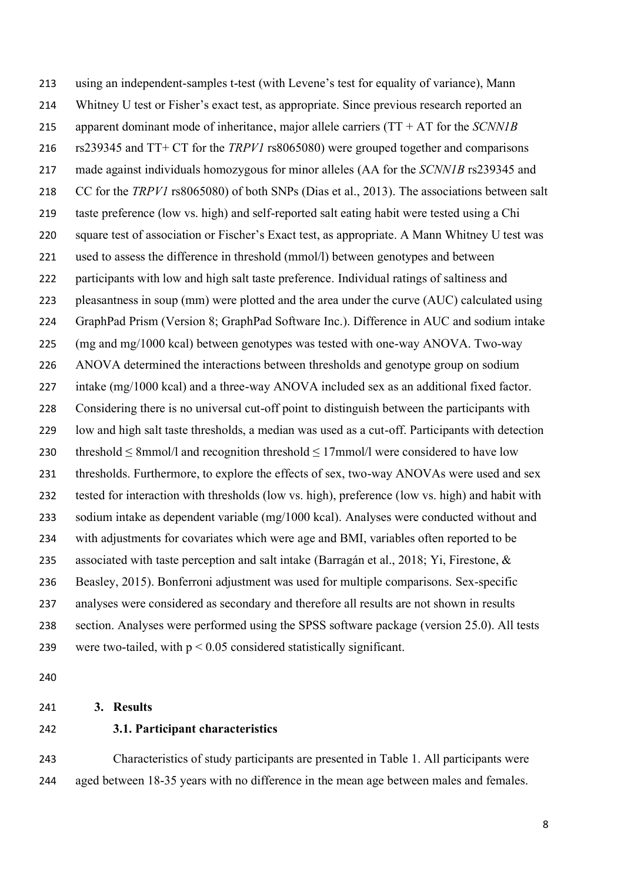using an independent-samples t-test (with Levene's test for equality of variance), Mann Whitney U test or Fisher's exact test, as appropriate. Since previous research reported an apparent dominant mode of inheritance, major allele carriers (TT + AT for the *SCNN1B* rs239345 and TT+ CT for the *TRPV1* rs8065080) were grouped together and comparisons made against individuals homozygous for minor alleles (AA for the *SCNN1B* rs239345 and CC for the *TRPV1* rs8065080) of both SNPs (Dias et al., 2013). The associations between salt taste preference (low vs. high) and self-reported salt eating habit were tested using a Chi square test of association or Fischer's Exact test, as appropriate. A Mann Whitney U test was used to assess the difference in threshold (mmol/l) between genotypes and between participants with low and high salt taste preference. Individual ratings of saltiness and pleasantness in soup (mm) were plotted and the area under the curve (AUC) calculated using GraphPad Prism (Version 8; GraphPad Software Inc.). Difference in AUC and sodium intake (mg and mg/1000 kcal) between genotypes was tested with one-way ANOVA. Two-way ANOVA determined the interactions between thresholds and genotype group on sodium intake (mg/1000 kcal) and a three-way ANOVA included sex as an additional fixed factor. Considering there is no universal cut-off point to distinguish between the participants with low and high salt taste thresholds, a median was used as a cut-off. Participants with detection 230 threshold  $\leq$  8mmol/l and recognition threshold  $\leq$  17mmol/l were considered to have low 231 thresholds. Furthermore, to explore the effects of sex, two-way ANOVAs were used and sex tested for interaction with thresholds (low vs. high), preference (low vs. high) and habit with sodium intake as dependent variable (mg/1000 kcal). Analyses were conducted without and with adjustments for covariates which were age and BMI, variables often reported to be 235 associated with taste perception and salt intake (Barragán et al., 2018; Yi, Firestone, & Beasley, 2015). Bonferroni adjustment was used for multiple comparisons. Sex-specific analyses were considered as secondary and therefore all results are not shown in results section. Analyses were performed using the SPSS software package (version 25.0). All tests 239 were two-tailed, with  $p < 0.05$  considered statistically significant.

#### **3. Results**

# **3.1. Participant characteristics**

 Characteristics of study participants are presented in Table 1. All participants were aged between 18-35 years with no difference in the mean age between males and females.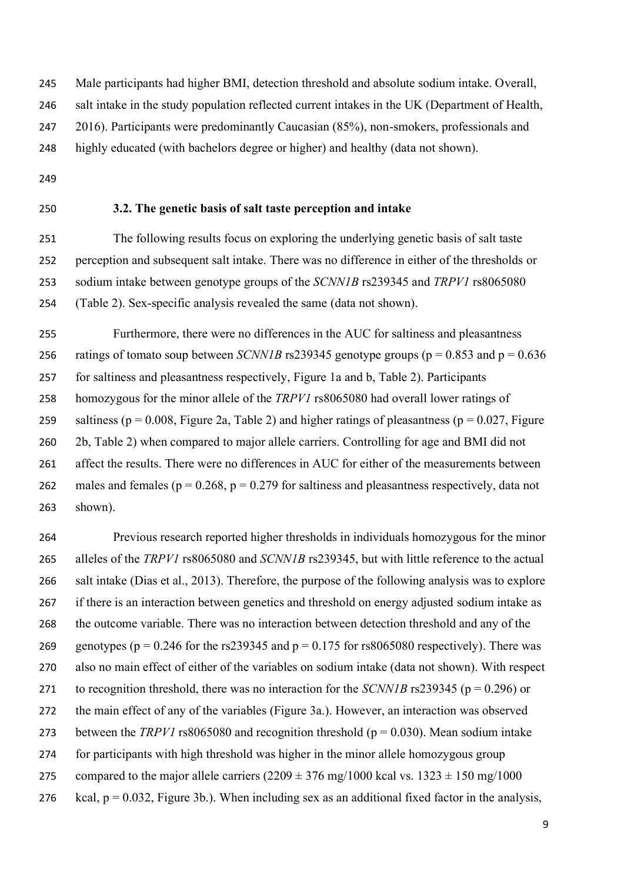Male participants had higher BMI, detection threshold and absolute sodium intake. Overall,

- salt intake in the study population reflected current intakes in the UK (Department of Health,
- 247 2016). Participants were predominantly Caucasian (85%), non-smokers, professionals and

highly educated (with bachelors degree or higher) and healthy (data not shown).

- 
- 

# **3.2. The genetic basis of salt taste perception and intake**

 The following results focus on exploring the underlying genetic basis of salt taste perception and subsequent salt intake. There was no difference in either of the thresholds or sodium intake between genotype groups of the *SCNN1B* rs239345 and *TRPV1* rs8065080 (Table 2). Sex-specific analysis revealed the same (data not shown).

 Furthermore, there were no differences in the AUC for saltiness and pleasantness 256 ratings of tomato soup between *SCNN1B* rs239345 genotype groups ( $p = 0.853$  and  $p = 0.636$ ) for saltiness and pleasantness respectively, Figure 1a and b, Table 2). Participants homozygous for the minor allele of the *TRPV1* rs8065080 had overall lower ratings of 259 saltiness ( $p = 0.008$ , Figure 2a, Table 2) and higher ratings of pleasantness ( $p = 0.027$ , Figure 2b, Table 2) when compared to major allele carriers. Controlling for age and BMI did not affect the results. There were no differences in AUC for either of the measurements between 262 males and females ( $p = 0.268$ ,  $p = 0.279$  for saltiness and pleasantness respectively, data not shown).

 Previous research reported higher thresholds in individuals homozygous for the minor alleles of the *TRPV1* rs8065080 and *SCNN1B* rs239345, but with little reference to the actual salt intake (Dias et al., 2013). Therefore, the purpose of the following analysis was to explore if there is an interaction between genetics and threshold on energy adjusted sodium intake as the outcome variable. There was no interaction between detection threshold and any of the 269 genotypes ( $p = 0.246$  for the rs239345 and  $p = 0.175$  for rs8065080 respectively). There was also no main effect of either of the variables on sodium intake (data not shown). With respect to recognition threshold, there was no interaction for the *SCNN1B* rs239345 (p = 0.296) or the main effect of any of the variables (Figure 3a.). However, an interaction was observed 273 between the *TRPV1* rs8065080 and recognition threshold ( $p = 0.030$ ). Mean sodium intake for participants with high threshold was higher in the minor allele homozygous group 275 compared to the major allele carriers  $(2209 \pm 376 \text{ mg}/1000 \text{ kcal vs. } 1323 \pm 150 \text{ mg}/1000$ 276 kcal,  $p = 0.032$ , Figure 3b.). When including sex as an additional fixed factor in the analysis,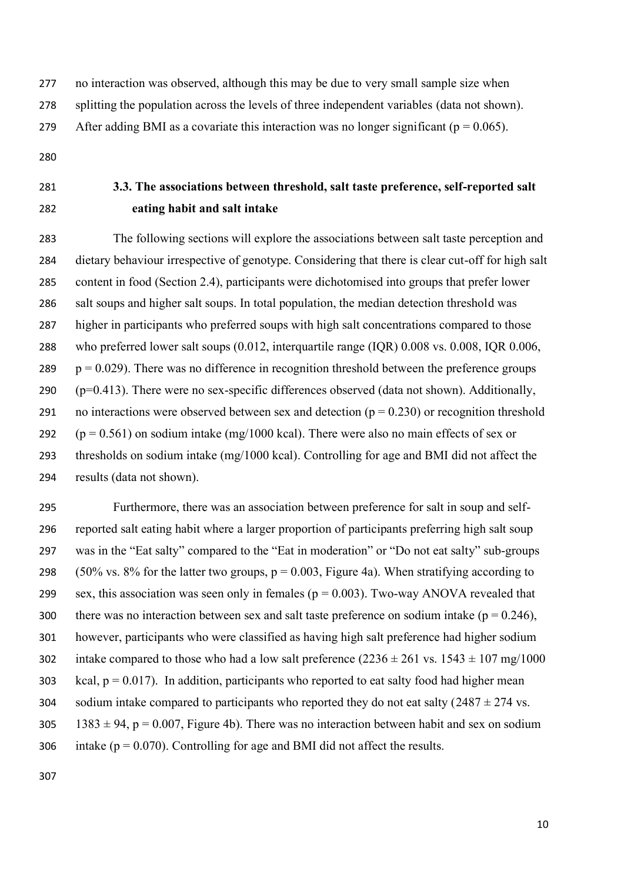no interaction was observed, although this may be due to very small sample size when

splitting the population across the levels of three independent variables (data not shown).

279 After adding BMI as a covariate this interaction was no longer significant ( $p = 0.065$ ).

- 
- 

# **3.3. The associations between threshold, salt taste preference, self-reported salt eating habit and salt intake**

 The following sections will explore the associations between salt taste perception and dietary behaviour irrespective of genotype. Considering that there is clear cut-off for high salt content in food (Section 2.4), participants were dichotomised into groups that prefer lower salt soups and higher salt soups. In total population, the median detection threshold was higher in participants who preferred soups with high salt concentrations compared to those who preferred lower salt soups (0.012, interquartile range (IQR) 0.008 vs. 0.008, IQR 0.006,  $p = 0.029$ ). There was no difference in recognition threshold between the preference groups (p=0.413). There were no sex-specific differences observed (data not shown). Additionally, 291 no interactions were observed between sex and detection ( $p = 0.230$ ) or recognition threshold  $(p = 0.561)$  on sodium intake (mg/1000 kcal). There were also no main effects of sex or thresholds on sodium intake (mg/1000 kcal). Controlling for age and BMI did not affect the results (data not shown).

 Furthermore, there was an association between preference for salt in soup and self- reported salt eating habit where a larger proportion of participants preferring high salt soup was in the "Eat salty" compared to the "Eat in moderation" or "Do not eat salty" sub-groups 298 (50% vs. 8% for the latter two groups,  $p = 0.003$ , Figure 4a). When stratifying according to 299 sex, this association was seen only in females ( $p = 0.003$ ). Two-way ANOVA revealed that 300 there was no interaction between sex and salt taste preference on sodium intake ( $p = 0.246$ ), however, participants who were classified as having high salt preference had higher sodium 302 intake compared to those who had a low salt preference  $(2236 \pm 261 \text{ vs. } 1543 \pm 107 \text{ mg}/1000$ 303 kcal,  $p = 0.017$ ). In addition, participants who reported to eat salty food had higher mean 304 sodium intake compared to participants who reported they do not eat salty  $(2487 \pm 274 \text{ vs.})$ 305 1383  $\pm$  94, p = 0.007, Figure 4b). There was no interaction between habit and sex on sodium 306 intake ( $p = 0.070$ ). Controlling for age and BMI did not affect the results.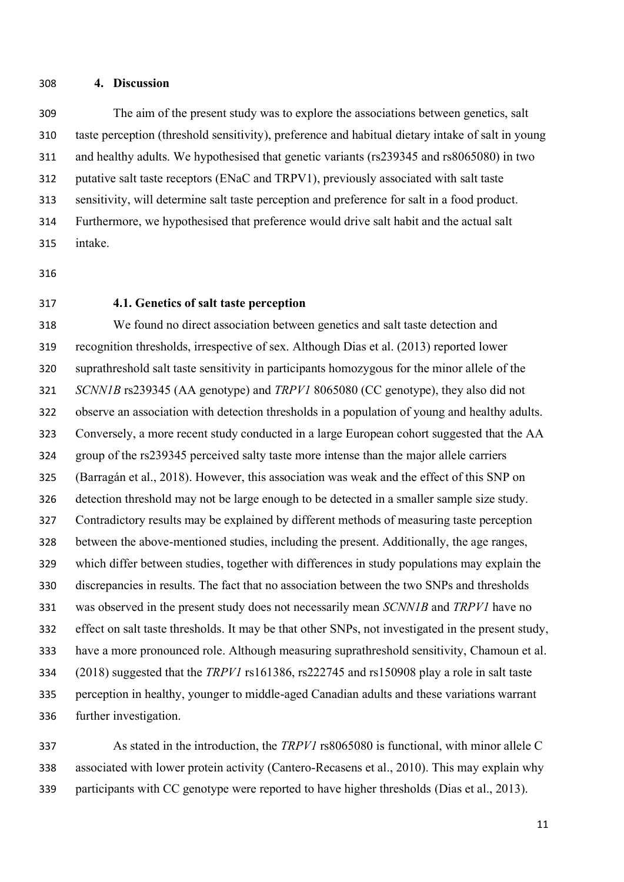**4. Discussion**

 The aim of the present study was to explore the associations between genetics, salt taste perception (threshold sensitivity), preference and habitual dietary intake of salt in young and healthy adults. We hypothesised that genetic variants (rs239345 and rs8065080) in two putative salt taste receptors (ENaC and TRPV1), previously associated with salt taste sensitivity, will determine salt taste perception and preference for salt in a food product. Furthermore, we hypothesised that preference would drive salt habit and the actual salt intake.

- 
- 

# **4.1. Genetics of salt taste perception**

 We found no direct association between genetics and salt taste detection and recognition thresholds, irrespective of sex. Although Dias et al. (2013) reported lower suprathreshold salt taste sensitivity in participants homozygous for the minor allele of the *SCNN1B* rs239345 (AA genotype) and *TRPV1* 8065080 (CC genotype), they also did not observe an association with detection thresholds in a population of young and healthy adults. Conversely, a more recent study conducted in a large European cohort suggested that the AA group of the rs239345 perceived salty taste more intense than the major allele carriers (Barragán et al., 2018). However, this association was weak and the effect of this SNP on detection threshold may not be large enough to be detected in a smaller sample size study. Contradictory results may be explained by different methods of measuring taste perception between the above-mentioned studies, including the present. Additionally, the age ranges, which differ between studies, together with differences in study populations may explain the discrepancies in results. The fact that no association between the two SNPs and thresholds was observed in the present study does not necessarily mean *SCNN1B* and *TRPV1* have no effect on salt taste thresholds. It may be that other SNPs, not investigated in the present study, have a more pronounced role. Although measuring suprathreshold sensitivity, Chamoun et al. (2018) suggested that the *TRPV1* rs161386, rs222745 and rs150908 play a role in salt taste perception in healthy, younger to middle-aged Canadian adults and these variations warrant further investigation.

 As stated in the introduction, the *TRPV1* rs8065080 is functional, with minor allele C associated with lower protein activity (Cantero-Recasens et al., 2010). This may explain why participants with CC genotype were reported to have higher thresholds (Dias et al., 2013).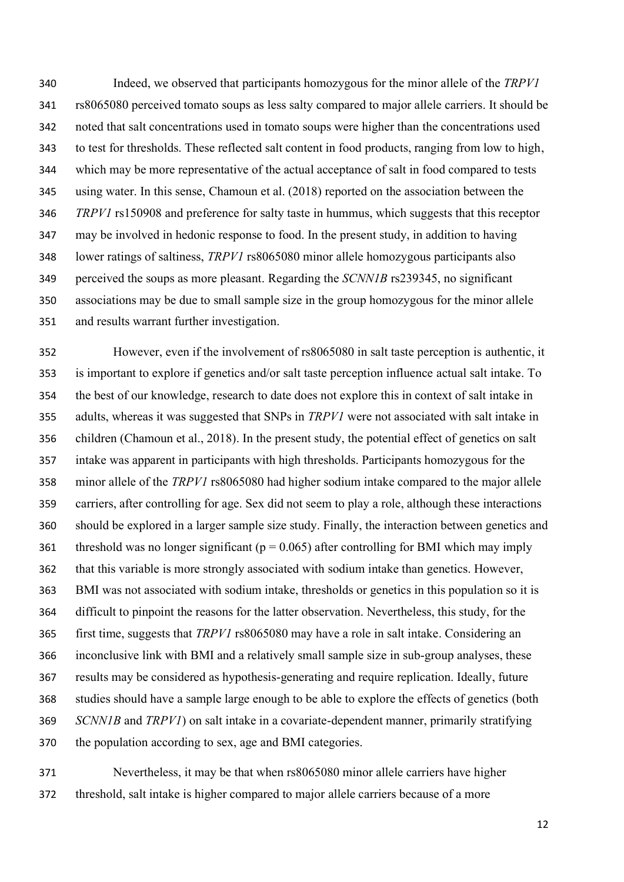Indeed, we observed that participants homozygous for the minor allele of the *TRPV1* rs8065080 perceived tomato soups as less salty compared to major allele carriers. It should be noted that salt concentrations used in tomato soups were higher than the concentrations used to test for thresholds. These reflected salt content in food products, ranging from low to high, which may be more representative of the actual acceptance of salt in food compared to tests using water. In this sense, Chamoun et al. (2018) reported on the association between the *TRPV1* rs150908 and preference for salty taste in hummus, which suggests that this receptor may be involved in hedonic response to food. In the present study, in addition to having lower ratings of saltiness, *TRPV1* rs8065080 minor allele homozygous participants also perceived the soups as more pleasant. Regarding the *SCNN1B* rs239345, no significant associations may be due to small sample size in the group homozygous for the minor allele and results warrant further investigation.

 However, even if the involvement of rs8065080 in salt taste perception is authentic, it is important to explore if genetics and/or salt taste perception influence actual salt intake. To the best of our knowledge, research to date does not explore this in context of salt intake in adults, whereas it was suggested that SNPs in *TRPV1* were not associated with salt intake in children (Chamoun et al., 2018). In the present study, the potential effect of genetics on salt intake was apparent in participants with high thresholds. Participants homozygous for the minor allele of the *TRPV1* rs8065080 had higher sodium intake compared to the major allele carriers, after controlling for age. Sex did not seem to play a role, although these interactions should be explored in a larger sample size study. Finally, the interaction between genetics and 361 threshold was no longer significant ( $p = 0.065$ ) after controlling for BMI which may imply that this variable is more strongly associated with sodium intake than genetics. However, BMI was not associated with sodium intake, thresholds or genetics in this population so it is difficult to pinpoint the reasons for the latter observation. Nevertheless, this study, for the first time, suggests that *TRPV1* rs8065080 may have a role in salt intake. Considering an inconclusive link with BMI and a relatively small sample size in sub-group analyses, these results may be considered as hypothesis-generating and require replication. Ideally, future studies should have a sample large enough to be able to explore the effects of genetics (both *SCNN1B* and *TRPV1*) on salt intake in a covariate-dependent manner, primarily stratifying the population according to sex, age and BMI categories.

 Nevertheless, it may be that when rs8065080 minor allele carriers have higher threshold, salt intake is higher compared to major allele carriers because of a more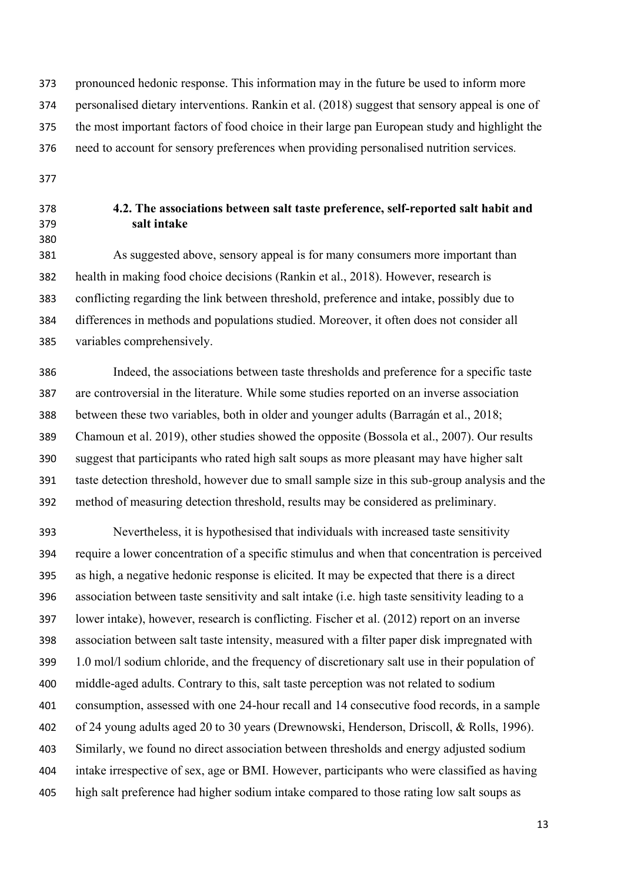pronounced hedonic response. This information may in the future be used to inform more personalised dietary interventions. Rankin et al. (2018) suggest that sensory appeal is one of the most important factors of food choice in their large pan European study and highlight the need to account for sensory preferences when providing personalised nutrition services*.* 

- 
- 
- 

# **4.2. The associations between salt taste preference, self-reported salt habit and salt intake**

 As suggested above, sensory appeal is for many consumers more important than health in making food choice decisions (Rankin et al., 2018). However, research is conflicting regarding the link between threshold, preference and intake, possibly due to differences in methods and populations studied. Moreover, it often does not consider all variables comprehensively.

 Indeed, the associations between taste thresholds and preference for a specific taste are controversial in the literature. While some studies reported on an inverse association between these two variables, both in older and younger adults (Barragán et al., 2018; Chamoun et al. 2019), other studies showed the opposite (Bossola et al., 2007). Our results suggest that participants who rated high salt soups as more pleasant may have higher salt taste detection threshold, however due to small sample size in this sub-group analysis and the method of measuring detection threshold, results may be considered as preliminary.

 Nevertheless, it is hypothesised that individuals with increased taste sensitivity require a lower concentration of a specific stimulus and when that concentration is perceived as high, a negative hedonic response is elicited. It may be expected that there is a direct association between taste sensitivity and salt intake (i.e. high taste sensitivity leading to a lower intake), however, research is conflicting. Fischer et al. (2012) report on an inverse association between salt taste intensity, measured with a filter paper disk impregnated with 1.0 mol/l sodium chloride, and the frequency of discretionary salt use in their population of middle-aged adults. Contrary to this, salt taste perception was not related to sodium consumption, assessed with one 24-hour recall and 14 consecutive food records, in a sample of 24 young adults aged 20 to 30 years (Drewnowski, Henderson, Driscoll, & Rolls, 1996). Similarly, we found no direct association between thresholds and energy adjusted sodium intake irrespective of sex, age or BMI. However, participants who were classified as having high salt preference had higher sodium intake compared to those rating low salt soups as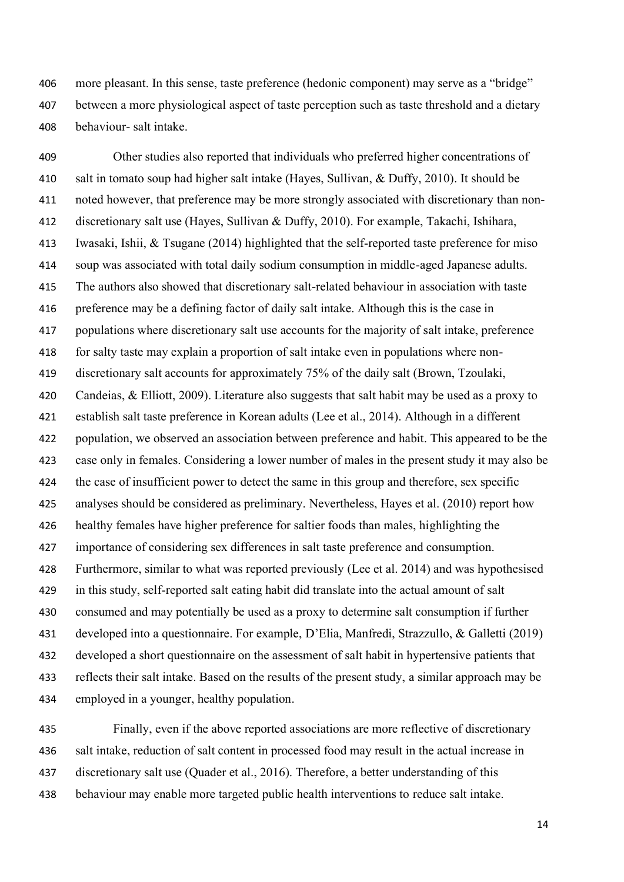more pleasant. In this sense, taste preference (hedonic component) may serve as a "bridge" between a more physiological aspect of taste perception such as taste threshold and a dietary behaviour- salt intake.

 Other studies also reported that individuals who preferred higher concentrations of salt in tomato soup had higher salt intake (Hayes, Sullivan, & Duffy, 2010). It should be noted however, that preference may be more strongly associated with discretionary than non- discretionary salt use (Hayes, Sullivan & Duffy, 2010). For example, Takachi, Ishihara, Iwasaki, Ishii, & Tsugane (2014) highlighted that the self-reported taste preference for miso soup was associated with total daily sodium consumption in middle-aged Japanese adults. The authors also showed that discretionary salt-related behaviour in association with taste preference may be a defining factor of daily salt intake. Although this is the case in populations where discretionary salt use accounts for the majority of salt intake, preference for salty taste may explain a proportion of salt intake even in populations where non- discretionary salt accounts for approximately 75% of the daily salt (Brown, Tzoulaki, Candeias, & Elliott, 2009). Literature also suggests that salt habit may be used as a proxy to establish salt taste preference in Korean adults (Lee et al., 2014). Although in a different population, we observed an association between preference and habit. This appeared to be the case only in females. Considering a lower number of males in the present study it may also be the case of insufficient power to detect the same in this group and therefore, sex specific analyses should be considered as preliminary. Nevertheless, Hayes et al. (2010) report how healthy females have higher preference for saltier foods than males, highlighting the importance of considering sex differences in salt taste preference and consumption. Furthermore, similar to what was reported previously (Lee et al. 2014) and was hypothesised in this study, self-reported salt eating habit did translate into the actual amount of salt consumed and may potentially be used as a proxy to determine salt consumption if further developed into a questionnaire. For example, D'Elia, Manfredi, Strazzullo, & Galletti (2019) developed a short questionnaire on the assessment of salt habit in hypertensive patients that reflects their salt intake. Based on the results of the present study, a similar approach may be employed in a younger, healthy population.

 Finally, even if the above reported associations are more reflective of discretionary salt intake, reduction of salt content in processed food may result in the actual increase in discretionary salt use (Quader et al., 2016). Therefore, a better understanding of this behaviour may enable more targeted public health interventions to reduce salt intake.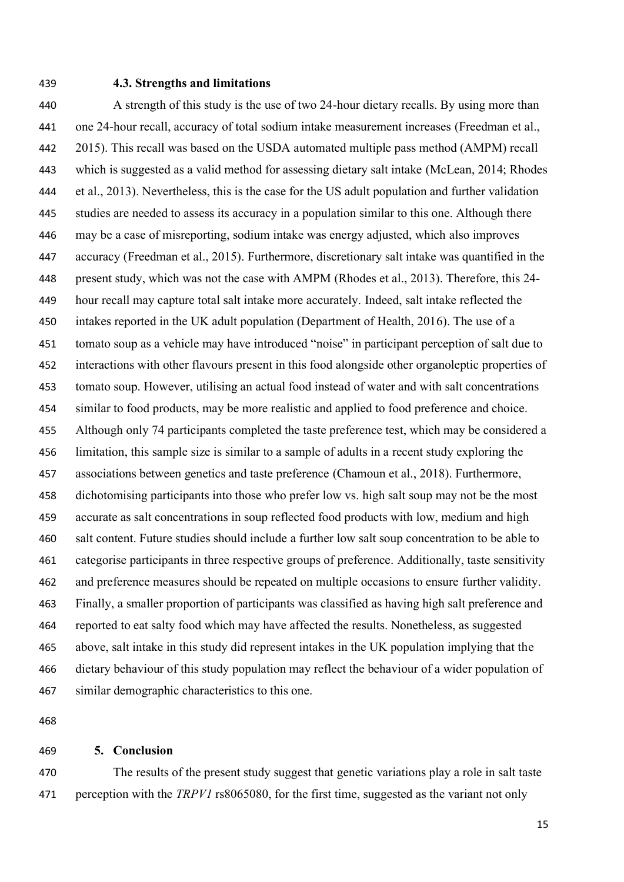#### **4.3. Strengths and limitations**

 A strength of this study is the use of two 24-hour dietary recalls. By using more than one 24-hour recall, accuracy of total sodium intake measurement increases (Freedman et al., 2015). This recall was based on the USDA automated multiple pass method (AMPM) recall which is suggested as a valid method for assessing dietary salt intake (McLean, 2014; Rhodes et al., 2013). Nevertheless, this is the case for the US adult population and further validation studies are needed to assess its accuracy in a population similar to this one. Although there may be a case of misreporting, sodium intake was energy adjusted, which also improves accuracy (Freedman et al., 2015). Furthermore, discretionary salt intake was quantified in the present study, which was not the case with AMPM (Rhodes et al., 2013). Therefore, this 24- hour recall may capture total salt intake more accurately. Indeed, salt intake reflected the intakes reported in the UK adult population (Department of Health, 2016). The use of a tomato soup as a vehicle may have introduced "noise" in participant perception of salt due to interactions with other flavours present in this food alongside other organoleptic properties of tomato soup. However, utilising an actual food instead of water and with salt concentrations similar to food products, may be more realistic and applied to food preference and choice. Although only 74 participants completed the taste preference test, which may be considered a limitation, this sample size is similar to a sample of adults in a recent study exploring the associations between genetics and taste preference (Chamoun et al., 2018). Furthermore, dichotomising participants into those who prefer low vs. high salt soup may not be the most accurate as salt concentrations in soup reflected food products with low, medium and high salt content. Future studies should include a further low salt soup concentration to be able to categorise participants in three respective groups of preference. Additionally, taste sensitivity and preference measures should be repeated on multiple occasions to ensure further validity. Finally, a smaller proportion of participants was classified as having high salt preference and reported to eat salty food which may have affected the results. Nonetheless, as suggested above, salt intake in this study did represent intakes in the UK population implying that the dietary behaviour of this study population may reflect the behaviour of a wider population of similar demographic characteristics to this one.

# **5. Conclusion**

 The results of the present study suggest that genetic variations play a role in salt taste perception with the *TRPV1* rs8065080, for the first time, suggested as the variant not only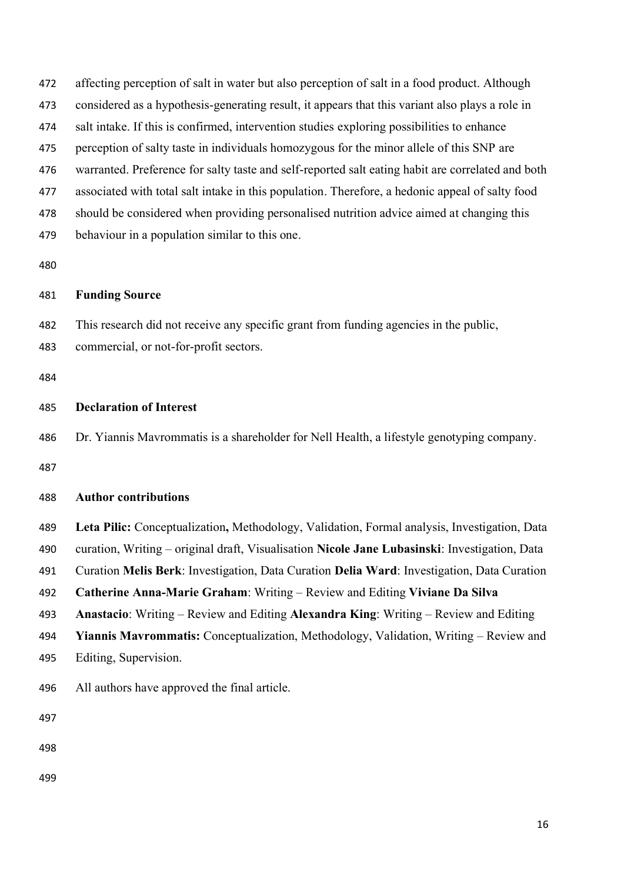| 472 | affecting perception of salt in water but also perception of salt in a food product. Although     |
|-----|---------------------------------------------------------------------------------------------------|
| 473 | considered as a hypothesis-generating result, it appears that this variant also plays a role in   |
| 474 | salt intake. If this is confirmed, intervention studies exploring possibilities to enhance        |
| 475 | perception of salty taste in individuals homozygous for the minor allele of this SNP are          |
| 476 | warranted. Preference for salty taste and self-reported salt eating habit are correlated and both |
| 477 | associated with total salt intake in this population. Therefore, a hedonic appeal of salty food   |
| 478 | should be considered when providing personalised nutrition advice aimed at changing this          |
| 479 | behaviour in a population similar to this one.                                                    |
| 480 |                                                                                                   |
| 481 | <b>Funding Source</b>                                                                             |
| 482 | This research did not receive any specific grant from funding agencies in the public,             |
| 483 | commercial, or not-for-profit sectors.                                                            |
| 484 |                                                                                                   |
| 485 | <b>Declaration of Interest</b>                                                                    |
| 486 | Dr. Yiannis Mavrommatis is a shareholder for Nell Health, a lifestyle genotyping company.         |
| 487 |                                                                                                   |
| 488 | <b>Author contributions</b>                                                                       |
| 489 | Leta Pilic: Conceptualization, Methodology, Validation, Formal analysis, Investigation, Data      |
| 490 | curation, Writing – original draft, Visualisation Nicole Jane Lubasinski: Investigation, Data     |
| 491 | Curation Melis Berk: Investigation, Data Curation Delia Ward: Investigation, Data Curation        |
| 492 | Catherine Anna-Marie Graham: Writing – Review and Editing Viviane Da Silva                        |
| 493 | Anastacio: Writing – Review and Editing Alexandra King: Writing – Review and Editing              |
| 494 | <b>Yiannis Mavrommatis:</b> Conceptualization, Methodology, Validation, Writing – Review and      |
| 495 | Editing, Supervision.                                                                             |
| 496 | All authors have approved the final article.                                                      |
| 497 |                                                                                                   |
| 498 |                                                                                                   |
| 499 |                                                                                                   |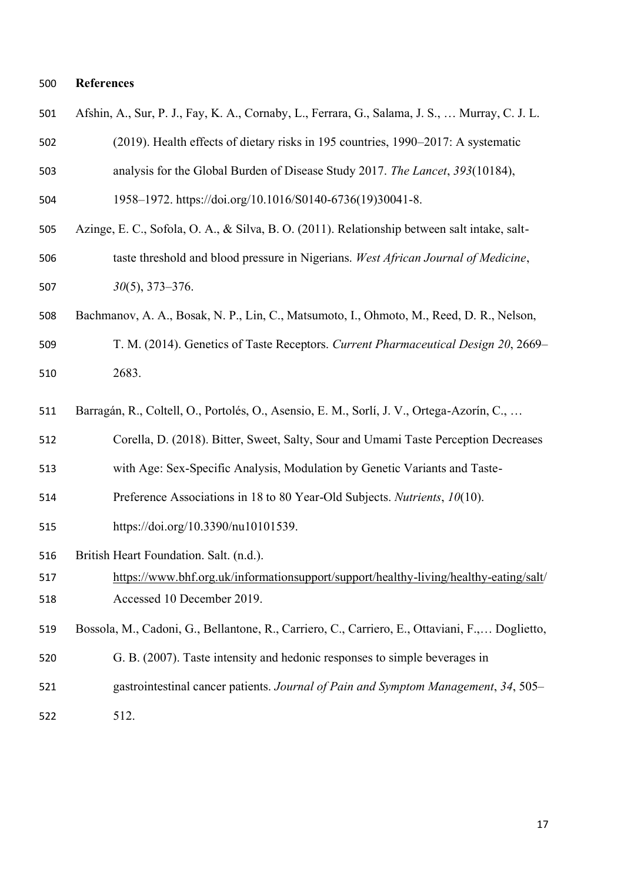# **References**

| 501 | Afshin, A., Sur, P. J., Fay, K. A., Cornaby, L., Ferrara, G., Salama, J. S.,  Murray, C. J. L. |
|-----|------------------------------------------------------------------------------------------------|
| 502 | (2019). Health effects of dietary risks in 195 countries, 1990-2017: A systematic              |
| 503 | analysis for the Global Burden of Disease Study 2017. The Lancet, 393(10184),                  |
| 504 | 1958-1972. https://doi.org/10.1016/S0140-6736(19)30041-8.                                      |
| 505 | Azinge, E. C., Sofola, O. A., & Silva, B. O. (2011). Relationship between salt intake, salt-   |
| 506 | taste threshold and blood pressure in Nigerians. West African Journal of Medicine,             |
| 507 | $30(5)$ , 373-376.                                                                             |
| 508 | Bachmanov, A. A., Bosak, N. P., Lin, C., Matsumoto, I., Ohmoto, M., Reed, D. R., Nelson,       |
| 509 | T. M. (2014). Genetics of Taste Receptors. Current Pharmaceutical Design 20, 2669–             |
| 510 | 2683.                                                                                          |
| 511 | Barragán, R., Coltell, O., Portolés, O., Asensio, E. M., Sorlí, J. V., Ortega-Azorín, C.,      |
| 512 | Corella, D. (2018). Bitter, Sweet, Salty, Sour and Umami Taste Perception Decreases            |
| 513 | with Age: Sex-Specific Analysis, Modulation by Genetic Variants and Taste-                     |
| 514 | Preference Associations in 18 to 80 Year-Old Subjects. Nutrients, 10(10).                      |
| 515 | https://doi.org/10.3390/nu10101539.                                                            |
| 516 | British Heart Foundation. Salt. (n.d.).                                                        |
| 517 | https://www.bhf.org.uk/informationsupport/support/healthy-living/healthy-eating/salt/          |
| 518 | Accessed 10 December 2019.                                                                     |
| 519 | Bossola, M., Cadoni, G., Bellantone, R., Carriero, C., Carriero, E., Ottaviani, F., Doglietto, |
| 520 | G. B. (2007). Taste intensity and hedonic responses to simple beverages in                     |
| 521 | gastrointestinal cancer patients. Journal of Pain and Symptom Management, 34, 505–             |
| 522 | 512.                                                                                           |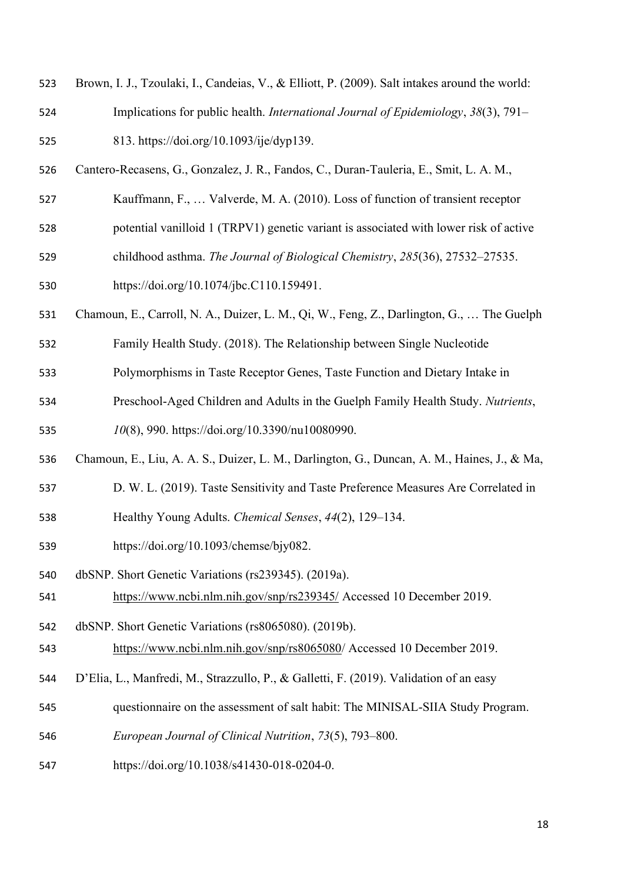- Brown, I. J., Tzoulaki, I., Candeias, V., & Elliott, P. (2009). Salt intakes around the world: Implications for public health. *International Journal of Epidemiology*, *38*(3), 791– 813. https://doi.org/10.1093/ije/dyp139.
- Cantero-Recasens, G., Gonzalez, J. R., Fandos, C., Duran-Tauleria, E., Smit, L. A. M.,
- Kauffmann, F., … Valverde, M. A. (2010). Loss of function of transient receptor
- potential vanilloid 1 (TRPV1) genetic variant is associated with lower risk of active
- childhood asthma. *The Journal of Biological Chemistry*, *285*(36), 27532–27535.
- https://doi.org/10.1074/jbc.C110.159491.
- Chamoun, E., Carroll, N. A., Duizer, L. M., Qi, W., Feng, Z., Darlington, G., … The Guelph
- Family Health Study. (2018). The Relationship between Single Nucleotide
- Polymorphisms in Taste Receptor Genes, Taste Function and Dietary Intake in
- Preschool-Aged Children and Adults in the Guelph Family Health Study. *Nutrients*,

*10*(8), 990. https://doi.org/10.3390/nu10080990.

- Chamoun, E., Liu, A. A. S., Duizer, L. M., Darlington, G., Duncan, A. M., Haines, J., & Ma,
- D. W. L. (2019). Taste Sensitivity and Taste Preference Measures Are Correlated in
- Healthy Young Adults. *Chemical Senses*, *44*(2), 129–134.
- https://doi.org/10.1093/chemse/bjy082.
- dbSNP. Short Genetic Variations (rs239345). (2019a).
- <https://www.ncbi.nlm.nih.gov/snp/rs239345/> Accessed 10 December 2019.
- dbSNP. Short Genetic Variations (rs8065080). (2019b).
- [https://www.ncbi.nlm.nih.gov/snp/rs8065080/](https://www.ncbi.nlm.nih.gov/snp/rs8065080) Accessed 10 December 2019.
- D'Elia, L., Manfredi, M., Strazzullo, P., & Galletti, F. (2019). Validation of an easy
- questionnaire on the assessment of salt habit: The MINISAL-SIIA Study Program.
- *European Journal of Clinical Nutrition*, *73*(5), 793–800.
- https://doi.org/10.1038/s41430-018-0204-0.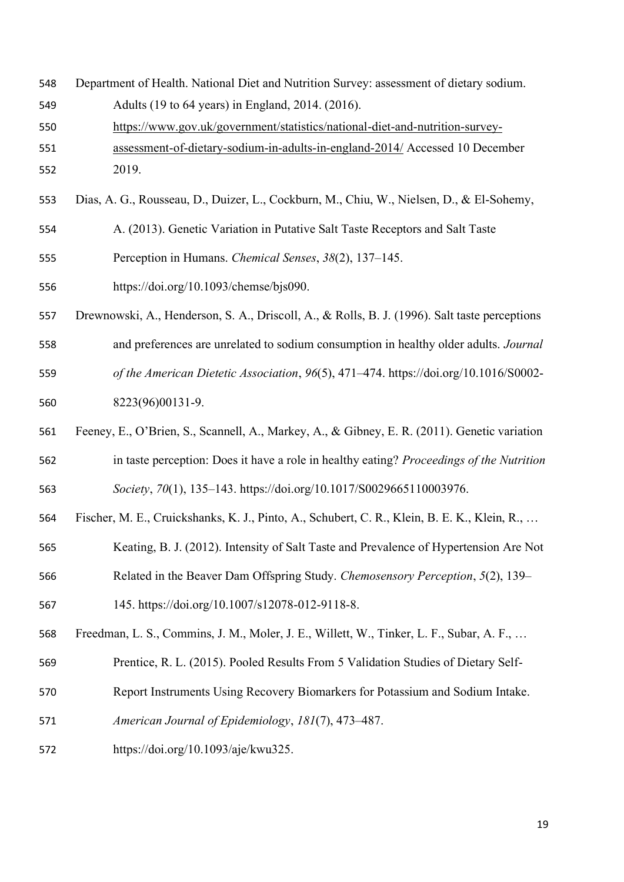- Department of Health. National Diet and Nutrition Survey: assessment of dietary sodium. Adults (19 to 64 years) in England, 2014. (2016).
- [https://www.gov.uk/government/statistics/national-diet-and-nutrition-survey-](https://www.gov.uk/government/statistics/national-diet-and-nutrition-survey-assessment-of-dietary-sodium-in-adults-in-england-2014/)
- [assessment-of-dietary-sodium-in-adults-in-england-2014/](https://www.gov.uk/government/statistics/national-diet-and-nutrition-survey-assessment-of-dietary-sodium-in-adults-in-england-2014/) Accessed 10 December 2019.
- Dias, A. G., Rousseau, D., Duizer, L., Cockburn, M., Chiu, W., Nielsen, D., & El-Sohemy,
- A. (2013). Genetic Variation in Putative Salt Taste Receptors and Salt Taste
- Perception in Humans. *Chemical Senses*, *38*(2), 137–145.
- https://doi.org/10.1093/chemse/bjs090.
- Drewnowski, A., Henderson, S. A., Driscoll, A., & Rolls, B. J. (1996). Salt taste perceptions and preferences are unrelated to sodium consumption in healthy older adults. *Journal of the American Dietetic Association*, *96*(5), 471–474. https://doi.org/10.1016/S0002-
- 8223(96)00131-9.
- Feeney, E., O'Brien, S., Scannell, A., Markey, A., & Gibney, E. R. (2011). Genetic variation in taste perception: Does it have a role in healthy eating? *Proceedings of the Nutrition Society*, *70*(1), 135–143. https://doi.org/10.1017/S0029665110003976.
- Fischer, M. E., Cruickshanks, K. J., Pinto, A., Schubert, C. R., Klein, B. E. K., Klein, R., …
- Keating, B. J. (2012). Intensity of Salt Taste and Prevalence of Hypertension Are Not
- Related in the Beaver Dam Offspring Study. *Chemosensory Perception*, *5*(2), 139–
- 145. https://doi.org/10.1007/s12078-012-9118-8.
- Freedman, L. S., Commins, J. M., Moler, J. E., Willett, W., Tinker, L. F., Subar, A. F., …
- Prentice, R. L. (2015). Pooled Results From 5 Validation Studies of Dietary Self-
- Report Instruments Using Recovery Biomarkers for Potassium and Sodium Intake.
- *American Journal of Epidemiology*, *181*(7), 473–487.
- https://doi.org/10.1093/aje/kwu325.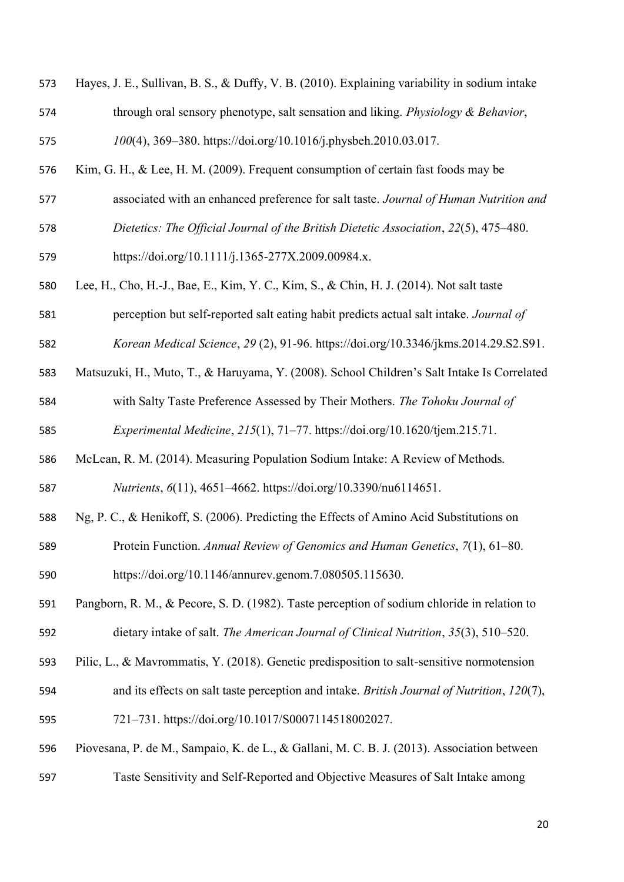| 573 | Hayes, J. E., Sullivan, B. S., & Duffy, V. B. (2010). Explaining variability in sodium intake |
|-----|-----------------------------------------------------------------------------------------------|
| 574 | through oral sensory phenotype, salt sensation and liking. Physiology & Behavior,             |
| 575 | 100(4), 369-380. https://doi.org/10.1016/j.physbeh.2010.03.017.                               |
| 576 | Kim, G. H., & Lee, H. M. (2009). Frequent consumption of certain fast foods may be            |
| 577 | associated with an enhanced preference for salt taste. Journal of Human Nutrition and         |
| 578 | Dietetics: The Official Journal of the British Dietetic Association, 22(5), 475-480.          |
| 579 | https://doi.org/10.1111/j.1365-277X.2009.00984.x.                                             |
| 580 | Lee, H., Cho, H.-J., Bae, E., Kim, Y. C., Kim, S., & Chin, H. J. (2014). Not salt taste       |
| 581 | perception but self-reported salt eating habit predicts actual salt intake. Journal of        |
| 582 | Korean Medical Science, 29 (2), 91-96. https://doi.org/10.3346/jkms.2014.29.S2.S91.           |
| 583 | Matsuzuki, H., Muto, T., & Haruyama, Y. (2008). School Children's Salt Intake Is Correlated   |
| 584 | with Salty Taste Preference Assessed by Their Mothers. The Tohoku Journal of                  |
| 585 | Experimental Medicine, 215(1), 71-77. https://doi.org/10.1620/tjem.215.71.                    |
| 586 | McLean, R. M. (2014). Measuring Population Sodium Intake: A Review of Methods.                |
| 587 | Nutrients, 6(11), 4651-4662. https://doi.org/10.3390/nu6114651.                               |
| 588 | Ng, P. C., & Henikoff, S. (2006). Predicting the Effects of Amino Acid Substitutions on       |
| 589 | Protein Function. Annual Review of Genomics and Human Genetics, 7(1), 61–80.                  |
| 590 | https://doi.org/10.1146/annurev.genom.7.080505.115630.                                        |
| 591 | Pangborn, R. M., & Pecore, S. D. (1982). Taste perception of sodium chloride in relation to   |
| 592 | dietary intake of salt. The American Journal of Clinical Nutrition, 35(3), 510–520.           |
| 593 | Pilic, L., & Mavrommatis, Y. (2018). Genetic predisposition to salt-sensitive normotension    |
| 594 | and its effects on salt taste perception and intake. British Journal of Nutrition, 120(7),    |
| 595 | 721-731. https://doi.org/10.1017/S0007114518002027.                                           |
| 596 | Piovesana, P. de M., Sampaio, K. de L., & Gallani, M. C. B. J. (2013). Association between    |
| 597 | Taste Sensitivity and Self-Reported and Objective Measures of Salt Intake among               |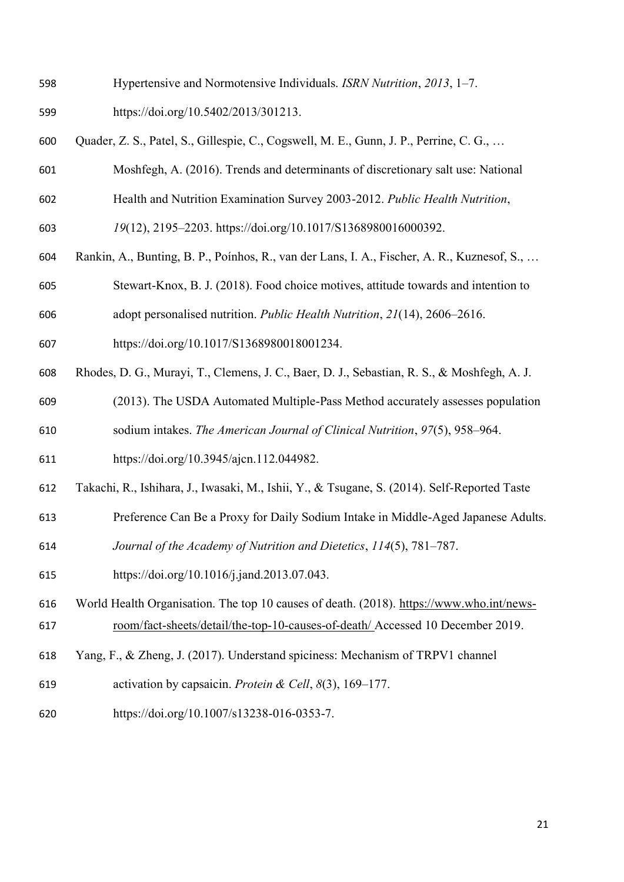- Hypertensive and Normotensive Individuals. *ISRN Nutrition*, *2013*, 1–7.
- https://doi.org/10.5402/2013/301213.
- Quader, Z. S., Patel, S., Gillespie, C., Cogswell, M. E., Gunn, J. P., Perrine, C. G., …
- Moshfegh, A. (2016). Trends and determinants of discretionary salt use: National
- Health and Nutrition Examination Survey 2003-2012. *Public Health Nutrition*,
- *19*(12), 2195–2203. https://doi.org/10.1017/S1368980016000392.
- Rankin, A., Bunting, B. P., Poínhos, R., van der Lans, I. A., Fischer, A. R., Kuznesof, S., …
- Stewart-Knox, B. J. (2018). Food choice motives, attitude towards and intention to
- adopt personalised nutrition. *Public Health Nutrition*, *21*(14), 2606–2616.
- https://doi.org/10.1017/S1368980018001234.
- Rhodes, D. G., Murayi, T., Clemens, J. C., Baer, D. J., Sebastian, R. S., & Moshfegh, A. J.
- (2013). The USDA Automated Multiple-Pass Method accurately assesses population sodium intakes. *The American Journal of Clinical Nutrition*, *97*(5), 958–964.
- https://doi.org/10.3945/ajcn.112.044982.
- Takachi, R., Ishihara, J., Iwasaki, M., Ishii, Y., & Tsugane, S. (2014). Self-Reported Taste
- Preference Can Be a Proxy for Daily Sodium Intake in Middle-Aged Japanese Adults.
- *Journal of the Academy of Nutrition and Dietetics*, *114*(5), 781–787.
- https://doi.org/10.1016/j.jand.2013.07.043.
- World Health Organisation. The top 10 causes of death. (2018). [https://www.who.int/news-](https://www.who.int/news-room/fact-sheets/detail/the-top-10-causes-of-death/%20Accessed%2010%20December%202019)[room/fact-sheets/detail/the-top-10-causes-of-death/ Accessed 10 December 2019.](https://www.who.int/news-room/fact-sheets/detail/the-top-10-causes-of-death/%20Accessed%2010%20December%202019)
- Yang, F., & Zheng, J. (2017). Understand spiciness: Mechanism of TRPV1 channel
- activation by capsaicin. *Protein & Cell*, *8*(3), 169–177.
- https://doi.org/10.1007/s13238-016-0353-7.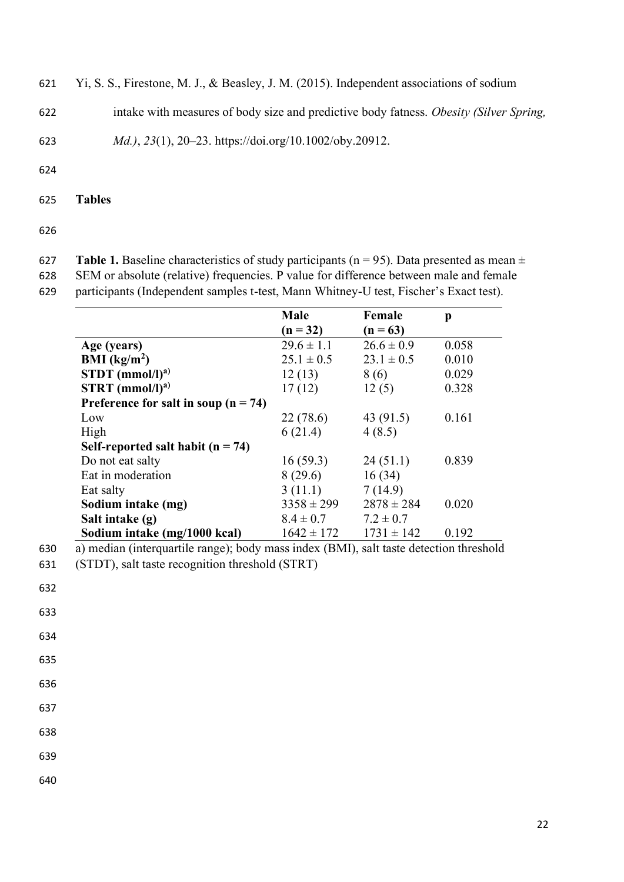- 621 Yi, S. S., Firestone, M. J., & Beasley, J. M. (2015). Independent associations of sodium
- 622 intake with measures of body size and predictive body fatness. *Obesity (Silver Spring,*

623 *Md.)*, *23*(1), 20–23. https://doi.org/10.1002/oby.20912.

624

625 **Tables**

626

627 **Table 1.** Baseline characteristics of study participants ( $n = 95$ ). Data presented as mean  $\pm$ 628 SEM or absolute (relative) frequencies. P value for difference between male and female

629 participants (Independent samples t-test, Mann Whitney-U test, Fischer's Exact test).

|                                        | Male           | Female         | p     |
|----------------------------------------|----------------|----------------|-------|
|                                        | $(n = 32)$     | $(n = 63)$     |       |
| Age (years)                            | $29.6 \pm 1.1$ | $26.6 \pm 0.9$ | 0.058 |
| BMI $(kg/m2)$                          | $25.1 \pm 0.5$ | $23.1 \pm 0.5$ | 0.010 |
| $STDT$ (mmol/l) <sup>a)</sup>          | 12(13)         | 8(6)           | 0.029 |
| $STRT$ (mmol/l) <sup>a)</sup>          | 17(12)         | 12(5)          | 0.328 |
| Preference for salt in soup $(n = 74)$ |                |                |       |
| Low                                    | 22(78.6)       | 43 (91.5)      | 0.161 |
| High                                   | 6(21.4)        | 4(8.5)         |       |
| Self-reported salt habit $(n = 74)$    |                |                |       |
| Do not eat salty                       | 16(59.3)       | 24(51.1)       | 0.839 |
| Eat in moderation                      | 8(29.6)        | 16(34)         |       |
| Eat salty                              | 3(11.1)        | 7(14.9)        |       |
| Sodium intake (mg)                     | $3358 \pm 299$ | $2878 \pm 284$ | 0.020 |
| Salt intake (g)                        | $8.4 \pm 0.7$  | $7.2 \pm 0.7$  |       |
| Sodium intake (mg/1000 kcal)           | $1642 \pm 172$ | $1731 \pm 142$ | 0.192 |

630 a) median (interquartile range); body mass index (BMI), salt taste detection threshold

633

634

- 635
- 636

637

638

639

<sup>631</sup> (STDT), salt taste recognition threshold (STRT)

<sup>632</sup>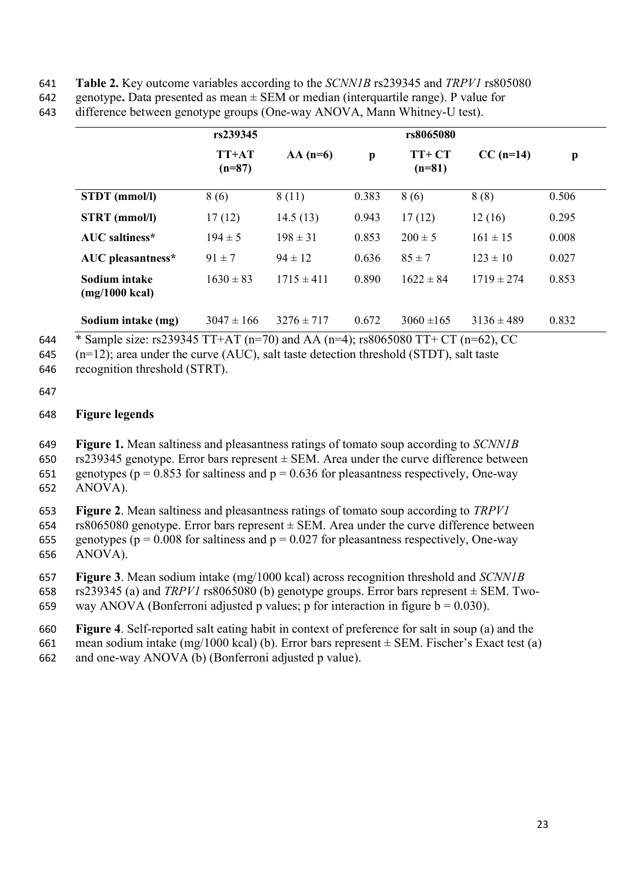- 641 **Table 2.** Key outcome variables according to the *SCNN1B* rs239345 and *TRPV1* rs805080
- 642 genotype**.** Data presented as mean ± SEM or median (interquartile range). P value for

| 643 | difference between genotype groups (One-way ANOVA, Mann Whitney-U test). |  |  |  |  |  |
|-----|--------------------------------------------------------------------------|--|--|--|--|--|
|-----|--------------------------------------------------------------------------|--|--|--|--|--|

|                                           | rs239345            |                |              | rs8065080           |                |       |
|-------------------------------------------|---------------------|----------------|--------------|---------------------|----------------|-------|
|                                           | $TT+AT$<br>$(n=87)$ | $AA(n=6)$      | $\mathbf{p}$ | $TT+CT$<br>$(n=81)$ | $CC(n=14)$     | p     |
| STDT (mmol/l)                             | 8(6)                | 8(11)          | 0.383        | 8(6)                | 8(8)           | 0.506 |
| STRT (mmol/l)                             | 17(12)              | 14.5(13)       | 0.943        | 17(12)              | 12(16)         | 0.295 |
| <b>AUC</b> saltiness*                     | $194 \pm 5$         | $198 \pm 31$   | 0.853        | $200 \pm 5$         | $161 \pm 15$   | 0.008 |
| AUC pleasantness*                         | $91 \pm 7$          | $94 \pm 12$    | 0.636        | $85 \pm 7$          | $123 \pm 10$   | 0.027 |
| Sodium intake<br>$(mg/1000 \text{ kcal})$ | $1630 \pm 83$       | $1715 \pm 411$ | 0.890        | $1622 \pm 84$       | $1719 \pm 274$ | 0.853 |
| Sodium intake (mg)                        | $3047 \pm 166$      | $3276 \pm 717$ | 0.672        | $3060 \pm 165$      | $3136 \pm 489$ | 0.832 |

644 \* Sample size: rs239345 TT+AT (n=70) and AA (n=4); rs8065080 TT+ CT (n=62), CC

645 (n=12); area under the curve (AUC), salt taste detection threshold (STDT), salt taste

646 recognition threshold (STRT).

# 647

# 648 **Figure legends**

649 **Figure 1.** Mean saltiness and pleasantness ratings of tomato soup according to *SCNN1B*

650 rs239345 genotype. Error bars represent  $\pm$  SEM. Area under the curve difference between 651 genotypes ( $p = 0.853$  for saltiness and  $p = 0.636$  for pleasantness respectively, One-way

652 ANOVA).

653 **Figure 2**. Mean saltiness and pleasantness ratings of tomato soup according to *TRPV1* 

654 rs8065080 genotype. Error bars represent  $\pm$  SEM. Area under the curve difference between 655 genotypes ( $p = 0.008$  for saltiness and  $p = 0.027$  for pleasantness respectively, One-way 656 ANOVA).

657 **Figure 3**. Mean sodium intake (mg/1000 kcal) across recognition threshold and *SCNN1B* 

658 rs239345 (a) and *TRPV1* rs8065080 (b) genotype groups. Error bars represent  $\pm$  SEM. Two-

659 way ANOVA (Bonferroni adjusted p values; p for interaction in figure  $b = 0.030$ ).

660 **Figure 4**. Self-reported salt eating habit in context of preference for salt in soup (a) and the 661 mean sodium intake (mg/1000 kcal) (b). Error bars represent  $\pm$  SEM. Fischer's Exact test (a)

662 and one-way ANOVA (b) (Bonferroni adjusted p value).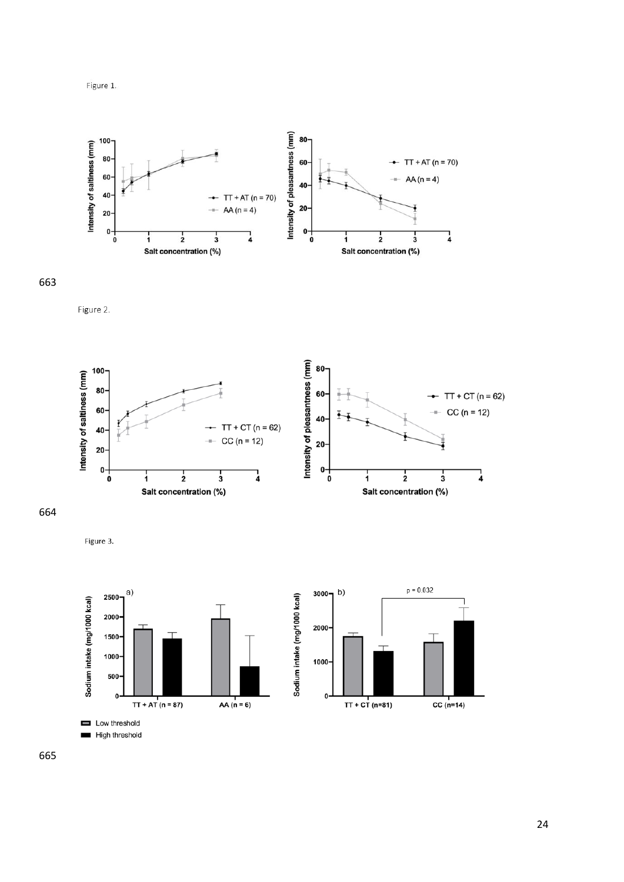

663

Figure 2.



664

Figure 3.

High threshold